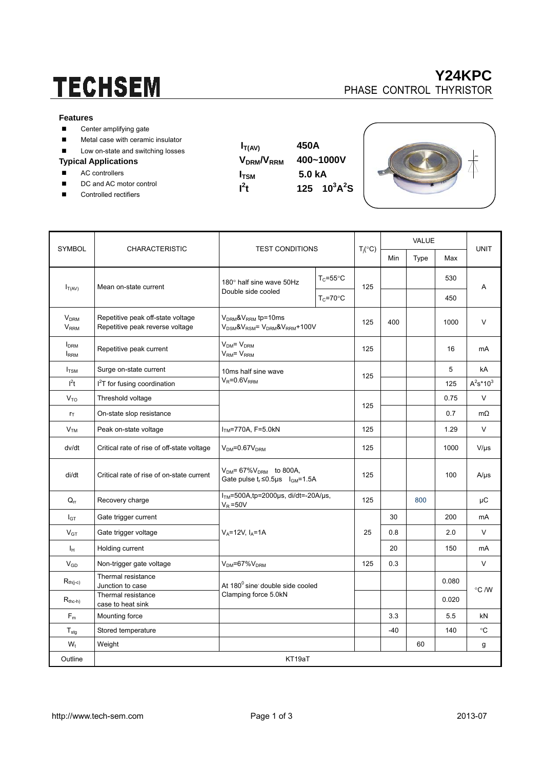# **TECHSEM**

## **Y24KPC**  PHASE CONTROL THYRISTOR

#### **Features**

- Center amplifying gate
- **Metal case with ceramic insulator**
- Low on-state and switching losses

### **Typical Applications**

- AC controllers
- DC and AC motor control
- Controlled rectifiers

 $I_{T(AV)}$  450A **VDRM/VRRM 400~1000V I**<sub>TSM</sub> 5.0 kA  $t$  125 10<sup>3</sup>A<sup>2</sup>S

 $\mathbf{I}^2$ 



|                                        | <b>CHARACTERISTIC</b>                                                | <b>TEST CONDITIONS</b>                                                                                   |                                             |                    |       | <b>VALUE</b> |       |                |
|----------------------------------------|----------------------------------------------------------------------|----------------------------------------------------------------------------------------------------------|---------------------------------------------|--------------------|-------|--------------|-------|----------------|
| <b>SYMBOL</b>                          |                                                                      |                                                                                                          |                                             | $T_j({}^{\circ}C)$ | Min   | Type         | Max   | <b>UNIT</b>    |
| $I_{T(AV)}$                            | Mean on-state current                                                | 180° half sine wave 50Hz<br>Double side cooled                                                           | $T_c = 55^{\circ}$ C                        | 125                |       |              | 530   | A              |
|                                        |                                                                      |                                                                                                          | $T_c = 70$ °C                               |                    |       |              | 450   |                |
| <b>V<sub>DRM</sub></b><br>VRRM         | Repetitive peak off-state voltage<br>Repetitive peak reverse voltage | $VDRM$ & $VRRM$ tp=10ms<br>V <sub>DSM</sub> &V <sub>RSM</sub> = V <sub>DRM</sub> &V <sub>RRM</sub> +100V |                                             | 125                | 400   |              | 1000  | $\vee$         |
| <b>I</b> <sub>DRM</sub><br><b>IRRM</b> | Repetitive peak current                                              | $VDM = VDRM$<br>$VRM = VRRM$                                                                             |                                             |                    |       |              | 16    | mA             |
| $I_{\text{TSM}}$                       | Surge on-state current                                               | 10ms half sine wave                                                                                      | $V_R = 0.6V_{RRM}$                          |                    |       |              | 5     | kA             |
| l <sup>2</sup> t                       | I <sup>2</sup> T for fusing coordination                             |                                                                                                          |                                             |                    |       |              | 125   | $A^2s^*10^3$   |
| V <sub>TO</sub>                        | Threshold voltage                                                    |                                                                                                          |                                             |                    |       |              | 0.75  | $\vee$         |
| $r_{\text{T}}$                         | On-state slop resistance                                             |                                                                                                          |                                             |                    |       |              | 0.7   | $m\Omega$      |
| V <sub>TM</sub>                        | Peak on-state voltage                                                | $ITM=770A, F=5.0kN$                                                                                      |                                             |                    |       |              | 1.29  | $\vee$         |
| dv/dt                                  | Critical rate of rise of off-state voltage                           | $VDM=0.67VDRM$                                                                                           |                                             |                    |       |              | 1000  | $V/\mu s$      |
| di/dt                                  | Critical rate of rise of on-state current                            | $V_{DM}$ = 67% $V_{DRM}$ to 800A,<br>Gate pulse $t_r \le 0.5$ us $I_{\text{GM}} = 1.5$ A                 |                                             | 125                |       |              | 100   | $A/\mu s$      |
| $Q_{rr}$                               | Recovery charge                                                      | $V_R = 50V$                                                                                              | $ITM=500A$ , tp=2000µs, di/dt=-20A/µs,      |                    |       | 800          |       | μC             |
| $I_{GT}$                               | Gate trigger current                                                 |                                                                                                          |                                             |                    | 30    |              | 200   | mA             |
| $V_{GT}$                               | Gate trigger voltage                                                 | $V_A = 12V, I_A = 1A$                                                                                    |                                             |                    | 0.8   |              | 2.0   | V              |
| Iн                                     | Holding current                                                      |                                                                                                          |                                             |                    | 20    |              | 150   | mA             |
| $V_{GD}$                               | Non-trigger gate voltage                                             | $V_{DM} = 67\%V_{DRM}$                                                                                   |                                             | 125                | 0.3   |              |       | $\vee$         |
| $R_{th(j-c)}$                          | Thermal resistance<br>Junction to case                               |                                                                                                          | At 180 <sup>0</sup> sine double side cooled |                    |       |              | 0.080 | $\degree$ C /W |
| $R_{the-h}$                            | Thermal resistance<br>case to heat sink                              | Clamping force 5.0kN                                                                                     |                                             |                    |       |              | 0.020 |                |
| $F_m$                                  | Mounting force                                                       |                                                                                                          |                                             |                    | 3.3   |              | 5.5   | kN             |
| $T_{\text{stg}}$                       | Stored temperature                                                   |                                                                                                          |                                             |                    | $-40$ |              | 140   | $^{\circ}C$    |
| $W_t$                                  | Weight                                                               |                                                                                                          |                                             |                    |       | 60           |       | g              |
| Outline                                | KT19aT                                                               |                                                                                                          |                                             |                    |       |              |       |                |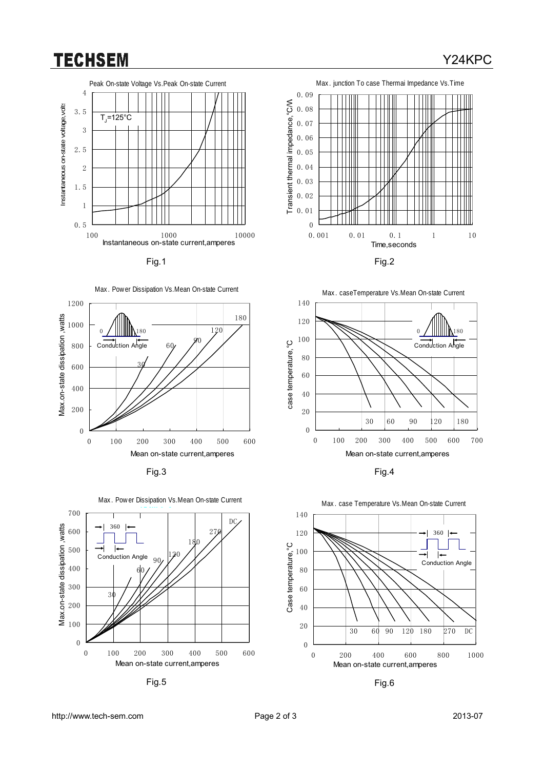## **TECHSEM**













Fig.5 Fig.6













http://www.tech-sem.com Page 2 of 3 2013-07

## Y24KPC